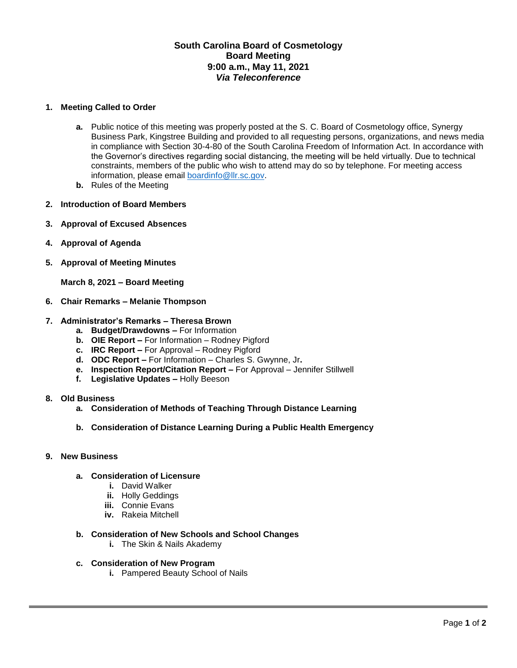# **South Carolina Board of Cosmetology Board Meeting 9:00 a.m., May 11, 2021** *Via Teleconference*

### **1. Meeting Called to Order**

- **a.** Public notice of this meeting was properly posted at the S. C. Board of Cosmetology office, Synergy Business Park, Kingstree Building and provided to all requesting persons, organizations, and news media in compliance with Section 30-4-80 of the South Carolina Freedom of Information Act. In accordance with the Governor's directives regarding social distancing, the meeting will be held virtually. Due to technical constraints, members of the public who wish to attend may do so by telephone. For meeting access information, please email [boardinfo@llr.sc.gov.](mailto:boardinfo@llr.sc.gov)
- **b.** Rules of the Meeting
- **2. Introduction of Board Members**
- **3. Approval of Excused Absences**
- **4. Approval of Agenda**
- **5. Approval of Meeting Minutes**

**March 8, 2021 – Board Meeting**

- **6. Chair Remarks – Melanie Thompson**
- **7. Administrator's Remarks – Theresa Brown**
	- **a. Budget/Drawdowns –** For Information
	- **b. OIE Report –** For Information Rodney Pigford
	- **c. IRC Report –** For Approval Rodney Pigford
	- **d. ODC Report –** For Information Charles S. Gwynne, Jr**.**
	- **e. Inspection Report/Citation Report –** For Approval Jennifer Stillwell
	- **f. Legislative Updates –** Holly Beeson
- **8. Old Business**
	- **a. Consideration of Methods of Teaching Through Distance Learning**
	- **b. Consideration of Distance Learning During a Public Health Emergency**

#### **9. New Business**

- **a. Consideration of Licensure** 
	- **i.** David Walker
	- **ii.** Holly Geddings
	- **iii.** Connie Evans
	- **iv.** Rakeia Mitchell
- **b. Consideration of New Schools and School Changes**
	- **i.** The Skin & Nails Akademy
- **c. Consideration of New Program**
	- **i.** Pampered Beauty School of Nails